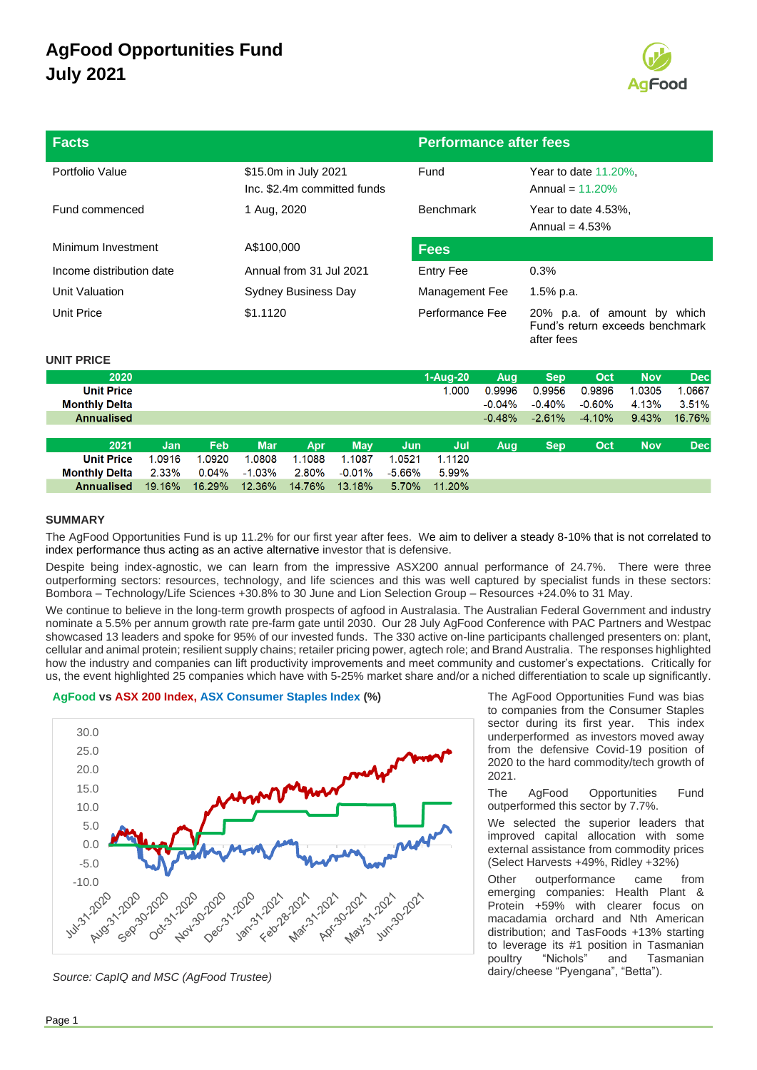

| <b>Facts</b>             |                                                     | <b>Performance after fees</b> |                                                                                 |  |
|--------------------------|-----------------------------------------------------|-------------------------------|---------------------------------------------------------------------------------|--|
| Portfolio Value          | \$15.0m in July 2021<br>Inc. \$2.4m committed funds | Fund                          | Year to date $11.20\%$ .<br>Annual = $11.20\%$                                  |  |
| Fund commenced           | 1 Aug, 2020                                         | <b>Benchmark</b>              | Year to date 4.53%,<br>Annual = $4.53\%$                                        |  |
| Minimum Investment       | A\$100,000                                          | <b>Fees</b>                   |                                                                                 |  |
| Income distribution date | Annual from 31 Jul 2021                             | Entry Fee                     | 0.3%                                                                            |  |
| Unit Valuation           | <b>Sydney Business Day</b>                          | Management Fee                | 1.5% p.a.                                                                       |  |
| Unit Price               | \$1.1120                                            | Performance Fee               | 20% p.a. of amount by<br>which<br>Fund's return exceeds benchmark<br>after fees |  |

#### **UNIT PRICE**

|        |          |            |        |            |        |        | Aug      | <b>Sep</b> | Oct       | <b>Nov</b> | <b>Dec</b> |
|--------|----------|------------|--------|------------|--------|--------|----------|------------|-----------|------------|------------|
|        |          |            |        |            |        | 1.000  | 0.9996   | 0.9956     | 0.9896    | 1.0305     | 1.0667     |
|        |          |            |        |            |        |        | $-0.04%$ | $-0.40%$   | $-0.60\%$ | 4.13%      | 3.51%      |
|        |          |            |        |            |        |        | $-0.48%$ | $-2.61%$   | $-4.10%$  | 9.43%      | 16.76%     |
|        |          |            |        |            |        |        |          |            |           |            |            |
| Jan    | Feb      | <b>Mar</b> | Apr    | <b>May</b> | Jun    | Jul    | Aug      | <b>Sep</b> | Oct       | <b>Nov</b> | <b>Dec</b> |
| 1.0916 | 1.0920   | 1.0808     | 1.1088 | 1.1087     | 1.0521 | 1.1120 |          |            |           |            |            |
| 2.33%  | $0.04\%$ | $-1.03%$   | 2.80%  | $-0.01\%$  | -5.66% | 5.99%  |          |            |           |            |            |
| 19.16% | 16.29%   | 12.36%     | 14.76% | 13.18%     | 5.70%  | 11.20% |          |            |           |            |            |
|        |          |            |        |            |        |        | 1-Aug-20 |            |           |            |            |

### **SUMMARY**

The AgFood Opportunities Fund is up 11.2% for our first year after fees. We aim to deliver a steady 8-10% that is not correlated to index performance thus acting as an active alternative investor that is defensive.

Despite being index-agnostic, we can learn from the impressive ASX200 annual performance of 24.7%. There were three outperforming sectors: resources, technology, and life sciences and this was well captured by specialist funds in these sectors: Bombora – Technology/Life Sciences +30.8% to 30 June and Lion Selection Group – Resources +24.0% to 31 May.

We continue to believe in the long-term growth prospects of agfood in Australasia. The Australian Federal Government and industry nominate a 5.5% per annum growth rate pre-farm gate until 2030. Our 28 July AgFood Conference with PAC Partners and Westpac showcased 13 leaders and spoke for 95% of our invested funds. The 330 active on-line participants challenged presenters on: plant, cellular and animal protein; resilient supply chains; retailer pricing power, agtech role; and Brand Australia. The responses highlighted how the industry and companies can lift productivity improvements and meet community and customer's expectations. Critically for us, the event highlighted 25 companies which have with 5-25% market share and/or a niched differentiation to scale up significantly.

#### AgFood vs ASX 200 Index, ASX Consumer Staples Index (%) The AgFood Opportunities Fund was bias



Source: CapIQ and MSC (AgFood Trustee).

to companies from the Consumer Staples sector during its first year. This index underperformed as investors moved away from the defensive Covid-19 position of 2020 to the hard commodity/tech growth of 2021.

The AgFood Opportunities Fund outperformed this sector by 7.7%.

We selected the superior leaders that improved capital allocation with some external assistance from commodity prices (Select Harvests +49%, Ridley +32%)

Other outperformance came from emerging companies: Health Plant & Protein +59% with clearer focus on macadamia orchard and Nth American distribution; and TasFoods +13% starting to leverage its #1 position in Tasmanian poultry "Nichols" and Tasmanian<br>dairy/cheese "Pyengana", "Betta").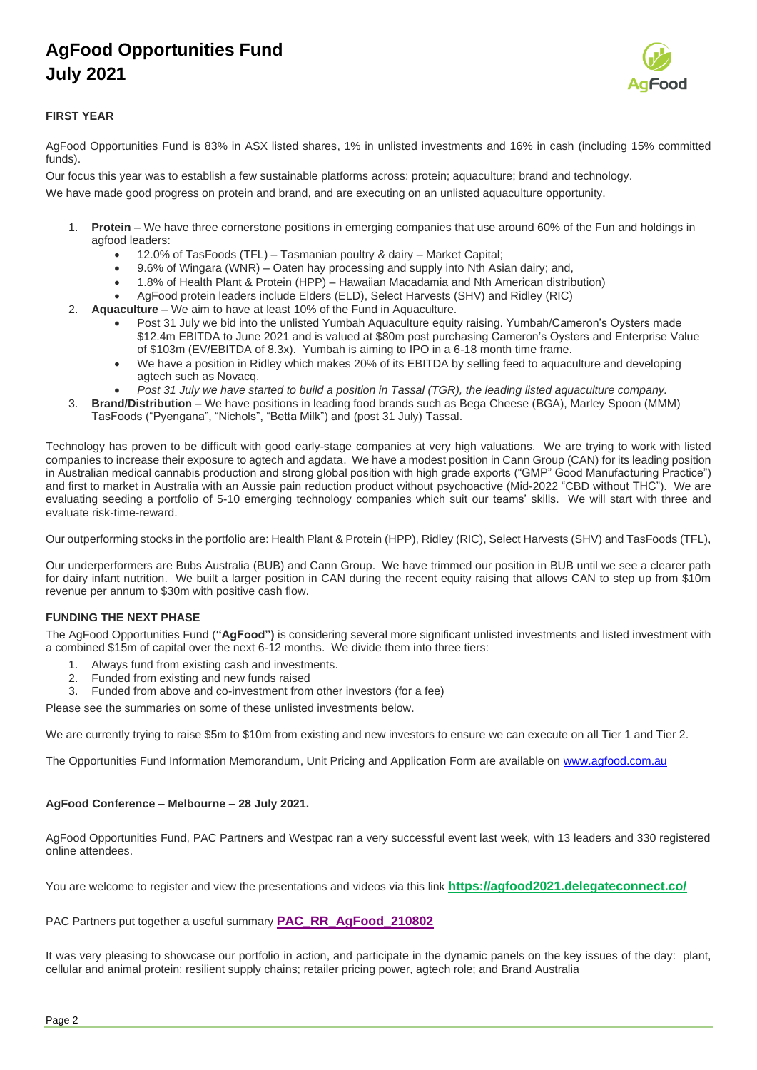

### **FIRST YEAR**

AgFood Opportunities Fund is 83% in ASX listed shares, 1% in unlisted investments and 16% in cash (including 15% committed funds).

Our focus this year was to establish a few sustainable platforms across: protein; aquaculture; brand and technology. We have made good progress on protein and brand, and are executing on an unlisted aquaculture opportunity.

- **Protein** We have three cornerstone positions in emerging companies that use around 60% of the Fun and holdings in agfood leaders:
	- 12.0% of TasFoods (TFL) Tasmanian poultry & dairy Market Capital;
	- 9.6% of Wingara (WNR) Oaten hay processing and supply into Nth Asian dairy; and,
	- 1.8% of Health Plant & Protein (HPP) Hawaiian Macadamia and Nth American distribution)
	- AgFood protein leaders include Elders (ELD), Select Harvests (SHV) and Ridley (RIC)
- 2. **Aquaculture** We aim to have at least 10% of the Fund in Aquaculture.
	- Post 31 July we bid into the unlisted Yumbah Aquaculture equity raising. Yumbah/Cameron's Oysters made \$12.4m EBITDA to June 2021 and is valued at \$80m post purchasing Cameron's Oysters and Enterprise Value of \$103m (EV/EBITDA of 8.3x). Yumbah is aiming to IPO in a 6-18 month time frame.
	- We have a position in Ridley which makes 20% of its EBITDA by selling feed to aquaculture and developing agtech such as Novacq.
	- *Post 31 July we have started to build a position in Tassal (TGR), the leading listed aquaculture company.*
- 3. **Brand/Distribution** We have positions in leading food brands such as Bega Cheese (BGA), Marley Spoon (MMM) TasFoods ("Pyengana", "Nichols", "Betta Milk") and (post 31 July) Tassal.

Technology has proven to be difficult with good early-stage companies at very high valuations. We are trying to work with listed companies to increase their exposure to agtech and agdata. We have a modest position in Cann Group (CAN) for its leading position in Australian medical cannabis production and strong global position with high grade exports ("GMP" Good Manufacturing Practice") and first to market in Australia with an Aussie pain reduction product without psychoactive (Mid-2022 "CBD without THC"). We are evaluating seeding a portfolio of 5-10 emerging technology companies which suit our teams' skills. We will start with three and evaluate risk-time-reward.

Our outperforming stocks in the portfolio are: Health Plant & Protein (HPP), Ridley (RIC), Select Harvests (SHV) and TasFoods (TFL),

Our underperformers are Bubs Australia (BUB) and Cann Group. We have trimmed our position in BUB until we see a clearer path for dairy infant nutrition. We built a larger position in CAN during the recent equity raising that allows CAN to step up from \$10m revenue per annum to \$30m with positive cash flow.

### **FUNDING THE NEXT PHASE**

The AgFood Opportunities Fund (**"AgFood")** is considering several more significant unlisted investments and listed investment with a combined \$15m of capital over the next 6-12 months. We divide them into three tiers:

- 1. Always fund from existing cash and investments.
- 2. Funded from existing and new funds raised
- 3. Funded from above and co-investment from other investors (for a fee)

Please see the summaries on some of these unlisted investments below.

We are currently trying to raise \$5m to \$10m from existing and new investors to ensure we can execute on all Tier 1 and Tier 2.

The Opportunities Fund Information Memorandum, Unit Pricing and Application Form are available on [www.agfood.com.au](http://www.agfood.com.au/)

### **AgFood Conference – Melbourne – 28 July 2021.**

AgFood Opportunities Fund, PAC Partners and Westpac ran a very successful event last week, with 13 leaders and 330 registered online attendees.

You are welcome to register and view the presentations and videos via this link **<https://agfood2021.delegateconnect.co/>**

PAC Partners put together a useful summary **[PAC\\_RR\\_AgFood\\_210802](https://mcusercontent.com/d840bc7fc0c9b4c680a242d0a/files/16372bfa-aa57-dd31-a429-08f887979c9f/RR_AgFood_210802.pdf)**

It was very pleasing to showcase our portfolio in action, and participate in the dynamic panels on the key issues of the day: plant, cellular and animal protein; resilient supply chains; retailer pricing power, agtech role; and Brand Australia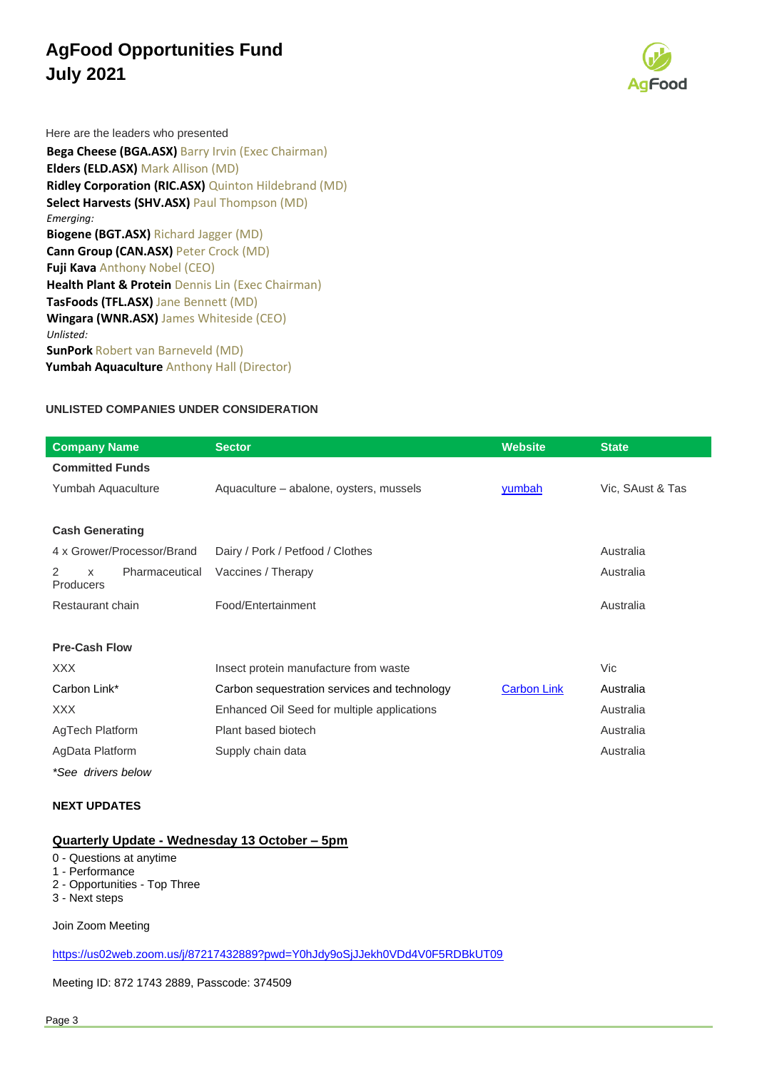

Here are the leaders who presented

**Bega Cheese (BGA.ASX)** Barry Irvin (Exec Chairman) **Elders (ELD.ASX)** Mark Allison (MD) **Ridley Corporation (RIC.ASX)** Quinton Hildebrand (MD) **Select Harvests (SHV.ASX)** Paul Thompson (MD) *Emerging:*  **Biogene (BGT.ASX)** Richard Jagger (MD) **Cann Group (CAN.ASX)** Peter Crock (MD) **Fuji Kava** Anthony Nobel (CEO) **Health Plant & Protein** Dennis Lin (Exec Chairman) **TasFoods (TFL.ASX)** Jane Bennett (MD) **Wingara (WNR.ASX)** James Whiteside (CEO) *Unlisted:*  **SunPork** Robert van Barneveld (MD) **Yumbah Aquaculture** Anthony Hall (Director)

### **UNLISTED COMPANIES UNDER CONSIDERATION**

| <b>Company Name</b>                                 | <b>Sector</b>                                | <b>Website</b>     | <b>State</b>     |
|-----------------------------------------------------|----------------------------------------------|--------------------|------------------|
| <b>Committed Funds</b>                              |                                              |                    |                  |
| Yumbah Aquaculture                                  | Aquaculture – abalone, oysters, mussels      | yumbah             | Vic, SAust & Tas |
|                                                     |                                              |                    |                  |
| <b>Cash Generating</b>                              |                                              |                    |                  |
| 4 x Grower/Processor/Brand                          | Dairy / Pork / Petfood / Clothes             |                    | Australia        |
| Pharmaceutical<br>2<br>$\times$<br><b>Producers</b> | Vaccines / Therapy                           |                    | Australia        |
| Restaurant chain                                    | Food/Entertainment                           |                    | Australia        |
| <b>Pre-Cash Flow</b>                                |                                              |                    |                  |
| XXX.                                                | Insect protein manufacture from waste        |                    | Vic              |
| Carbon Link*                                        | Carbon sequestration services and technology | <b>Carbon Link</b> | Australia        |
| XXX                                                 | Enhanced Oil Seed for multiple applications  |                    | Australia        |
| AgTech Platform                                     | Plant based biotech                          |                    | Australia        |
| AgData Platform                                     | Supply chain data                            |                    | Australia        |
| *See drivers below                                  |                                              |                    |                  |

#### **NEXT UPDATES**

### **Quarterly Update - Wednesday 13 October – 5pm**

0 - Questions at anytime

1 - Performance

- 2 Opportunities Top Three
- 3 Next steps

Join Zoom Meeting

<https://us02web.zoom.us/j/87217432889?pwd=Y0hJdy9oSjJJekh0VDd4V0F5RDBkUT09>

Meeting ID: 872 1743 2889, Passcode: 374509